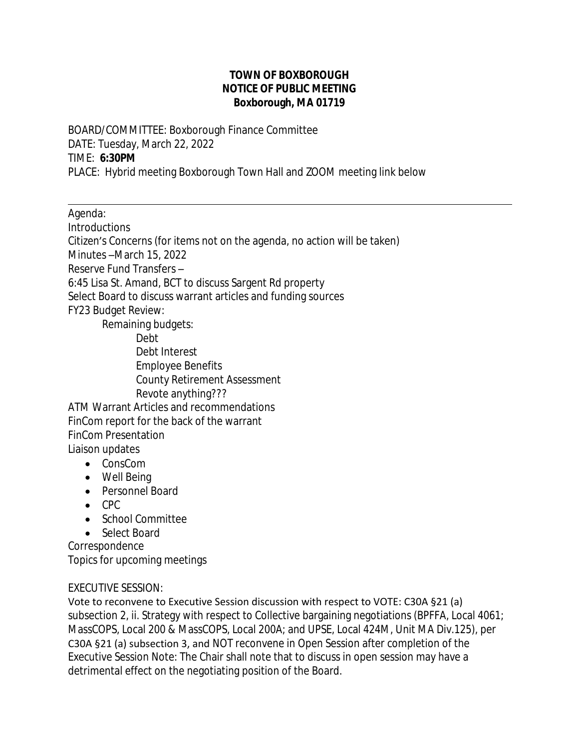## **TOWN OF BOXBOROUGH NOTICE OF PUBLIC MEETING Boxborough, MA 01719**

BOARD/COMMITTEE: Boxborough Finance Committee DATE: Tuesday, March 22, 2022 TIME: **6:30PM** PLACE: Hybrid meeting Boxborough Town Hall and ZOOM meeting link below

Agenda:

 $\overline{a}$ 

Introductions

Citizen's Concerns (for items not on the agenda, no action will be taken)

Minutes –March 15, 2022

Reserve Fund Transfers –

6:45 Lisa St. Amand, BCT to discuss Sargent Rd property

Select Board to discuss warrant articles and funding sources FY23 Budget Review:

Remaining budgets: Debt Debt Interest Employee Benefits County Retirement Assessment Revote anything??? ATM Warrant Articles and recommendations FinCom report for the back of the warrant

FinCom Presentation Liaison updates

- ConsCom
	- Well Being
	- Personnel Board
	- $\bullet$  CPC
	- School Committee
- Select Board

Correspondence Topics for upcoming meetings

## EXECUTIVE SESSION:

Vote to reconvene to Executive Session discussion with respect to VOTE: C30A §21 (a) subsection 2, ii. Strategy with respect to Collective bargaining negotiations (BPFFA, Local 4061; MassCOPS, Local 200 & MassCOPS, Local 200A; and UPSE, Local 424M, Unit MA Div.125), per C30A §21 (a) subsection 3, and NOT reconvene in Open Session after completion of the Executive Session Note: The Chair shall note that to discuss in open session may have a detrimental effect on the negotiating position of the Board.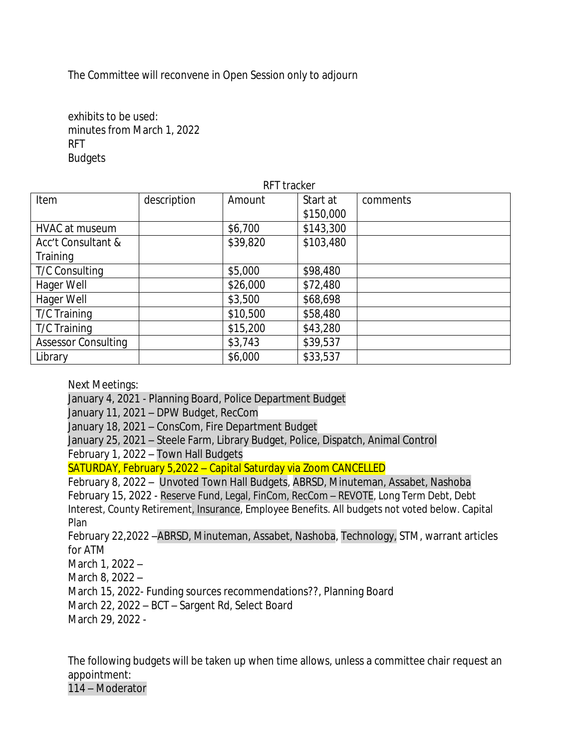The Committee will reconvene in Open Session only to adjourn

exhibits to be used: minutes from March 1, 2022 RFT **Budgets** 

| RFT tracker                |             |          |           |          |
|----------------------------|-------------|----------|-----------|----------|
| Item                       | description | Amount   | Start at  | comments |
|                            |             |          | \$150,000 |          |
| HVAC at museum             |             | \$6,700  | \$143,300 |          |
| Acc't Consultant &         |             | \$39,820 | \$103,480 |          |
| Training                   |             |          |           |          |
| <b>T/C Consulting</b>      |             | \$5,000  | \$98,480  |          |
| Hager Well                 |             | \$26,000 | \$72,480  |          |
| Hager Well                 |             | \$3,500  | \$68,698  |          |
| T/C Training               |             | \$10,500 | \$58,480  |          |
| T/C Training               |             | \$15,200 | \$43,280  |          |
| <b>Assessor Consulting</b> |             | \$3,743  | \$39,537  |          |
| Library                    |             | \$6,000  | \$33,537  |          |

Next Meetings:

January 4, 2021 - Planning Board, Police Department Budget January 11, 2021 – DPW Budget, RecCom January 18, 2021 – ConsCom, Fire Department Budget January 25, 2021 – Steele Farm, Library Budget, Police, Dispatch, Animal Control February 1, 2022 – Town Hall Budgets SATURDAY, February 5,2022 – Capital Saturday via Zoom CANCELLED February 8, 2022 – Unvoted Town Hall Budgets, ABRSD, Minuteman, Assabet, Nashoba February 15, 2022 - Reserve Fund, Legal, FinCom, RecCom – REVOTE, Long Term Debt, Debt Interest, County Retirement, Insurance, Employee Benefits. All budgets not voted below. Capital Plan

February 22,2022 –ABRSD, Minuteman, Assabet, Nashoba, Technology, STM, warrant articles for ATM

March 1, 2022 – March 8, 2022 – March 15, 2022- Funding sources recommendations??, Planning Board March 22, 2022 – BCT – Sargent Rd, Select Board March 29, 2022 -

The following budgets will be taken up when time allows, unless a committee chair request an appointment:

114 – Moderator